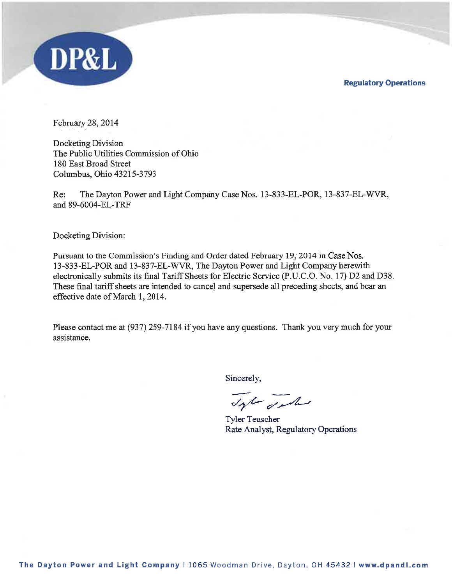**Regulatory Operations** 



February 28, 2014

Docketing Division The Public Utilities Commission of Ohio 180 East Broad Street Columbus, Ohio 43215-3793

Re: The Dayton Power and Light Company Case Nos. 13-833-EL-POR, 13-837-EL-WVR, and 89-6004-EL-TRF

Docketing Division:

Pursuant to the Commission's Finding and Order dated February 19, 2014 in Case Nos. 13-833-EL-POR and 13-837-EL-WVR, The Dayton Power and Light Company herewith electronically submits its final Tariff Sheets for Electric Service (P.U.C.O. No. 17) D2 and D38. These final tariff sheets are intended to cancel and supersede all preceding sheets, and bear an effective date of March 1, 2014.

Please contact me at (937) 259-7184 if you have any questions. Thank you very much for your assistance.

Sincerely,

Top sales

**Tyler Teuscher** Rate Analyst, Regulatory Operations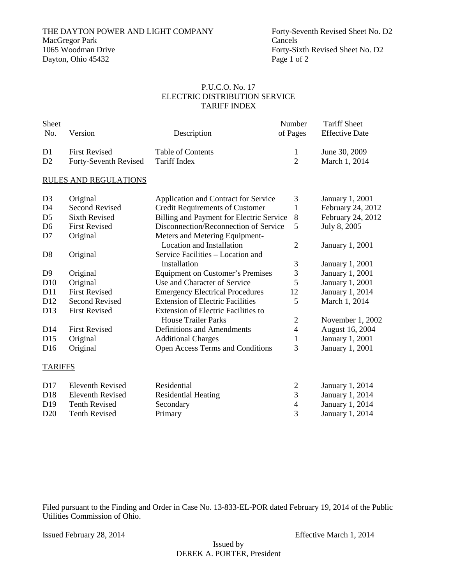THE DAYTON POWER AND LIGHT COMPANY Forty-Seventh Revised Sheet No. D2<br>MacGregor Park Cancels MacGregor Park<br>1065 Woodman Drive Dayton, Ohio 45432 Page 1 of 2

Forty-Sixth Revised Sheet No. D2

### P.U.C.O. No. 17 ELECTRIC DISTRIBUTION SERVICE TARIFF INDEX

| <b>Sheet</b>   |                                    |                   | Number   | <b>Tariff Sheet</b>   |
|----------------|------------------------------------|-------------------|----------|-----------------------|
| No.            | Version                            | Description       | of Pages | <b>Effective Date</b> |
|                |                                    |                   |          |                       |
| D <sub>1</sub> | <b>First Revised</b>               | Table of Contents |          | June 30, 2009         |
| D <sub>2</sub> | Forty-Seventh Revised Tariff Index |                   |          | March 1, 2014         |

#### RULES AND REGULATIONS

| D <sub>3</sub>  | Original                | Application and Contract for Service       | 3              | January 1, 2001        |
|-----------------|-------------------------|--------------------------------------------|----------------|------------------------|
| D <sub>4</sub>  | Second Revised          | <b>Credit Requirements of Customer</b>     | 1              | February 24, 2012      |
| D <sub>5</sub>  | <b>Sixth Revised</b>    | Billing and Payment for Electric Service   | 8              | February 24, 2012      |
| D <sub>6</sub>  | <b>First Revised</b>    | Disconnection/Reconnection of Service      | 5              | July 8, 2005           |
| D7              | Original                | Meters and Metering Equipment-             |                |                        |
|                 |                         | Location and Installation                  | 2              | <b>January 1, 2001</b> |
| D <sub>8</sub>  | Original                | Service Facilities – Location and          |                |                        |
|                 |                         | Installation                               | 3              | January 1, 2001        |
| D <sub>9</sub>  | Original                | <b>Equipment on Customer's Premises</b>    | 3              | <b>January 1, 2001</b> |
| D <sub>10</sub> | Original                | Use and Character of Service               | 5              | January 1, 2001        |
| D <sub>11</sub> | <b>First Revised</b>    | <b>Emergency Electrical Procedures</b>     | 12             | January 1, 2014        |
| D <sub>12</sub> | Second Revised          | <b>Extension of Electric Facilities</b>    | 5              | March 1, 2014          |
| D <sub>13</sub> | <b>First Revised</b>    | <b>Extension of Electric Facilities to</b> |                |                        |
|                 |                         | <b>House Trailer Parks</b>                 | $\overline{2}$ | November 1, 2002       |
| D14             | <b>First Revised</b>    | Definitions and Amendments                 | 4              | August 16, 2004        |
| D <sub>15</sub> | Original                | <b>Additional Charges</b>                  | 1              | January 1, 2001        |
| D <sub>16</sub> | Original                | Open Access Terms and Conditions           | 3              | January 1, 2001        |
| <b>TARIFFS</b>  |                         |                                            |                |                        |
| D <sub>17</sub> | <b>Eleventh Revised</b> | Residential                                | 2              | January 1, 2014        |

| - Elevenin Revised | Residential         | January 1, 2014 |
|--------------------|---------------------|-----------------|
| Eleventh Revised   | Residential Heating | January 1, 2014 |
| Tenth Revised      | Secondary           | January 1, 2014 |
| Tenth Revised      | Primary             | January 1, 2014 |
|                    |                     |                 |

Filed pursuant to the Finding and Order in Case No. 13-833-EL-POR dated February 19, 2014 of the Public Utilities Commission of Ohio.

Issued February 28, 2014 Effective March 1, 2014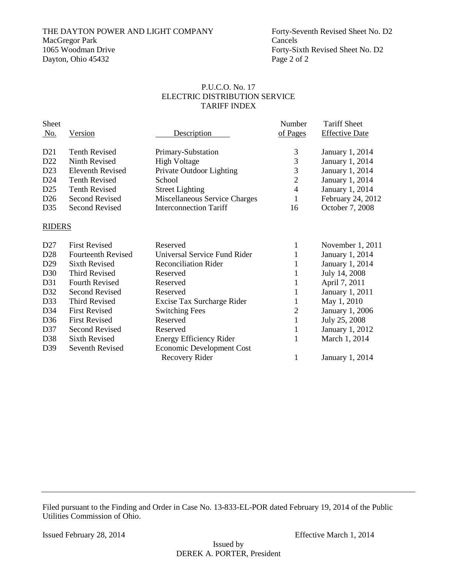# THE DAYTON POWER AND LIGHT COMPANY Forty-Seventh Revised Sheet No. D2<br>MacGregor Park Cancels MacGregor Park<br>1065 Woodman Drive

Dayton, Ohio 45432 Page 2 of 2

#### P.U.C.O. No. 17 ELECTRIC DISTRIBUTION SERVICE TARIFF INDEX

| <b>Sheet</b><br><u>No.</u> | Version                   | Description                   | Number<br>of Pages | <b>Tariff Sheet</b><br><b>Effective Date</b> |
|----------------------------|---------------------------|-------------------------------|--------------------|----------------------------------------------|
| D <sub>21</sub>            | <b>Tenth Revised</b>      | Primary-Substation            | 3                  | January 1, 2014                              |
| D <sub>22</sub>            | Ninth Revised             | <b>High Voltage</b>           | 3                  | January 1, 2014                              |
| D <sub>23</sub>            | Eleventh Revised          | Private Outdoor Lighting      | 3                  | January 1, 2014                              |
| D <sub>24</sub>            | <b>Tenth Revised</b>      | School                        | 2                  | January 1, 2014                              |
| D <sub>25</sub>            | <b>Tenth Revised</b>      | <b>Street Lighting</b>        | 4                  | January 1, 2014                              |
| D <sub>26</sub>            | Second Revised            | Miscellaneous Service Charges | 1                  | February 24, 2012                            |
| D35                        | Second Revised            | <b>Interconnection Tariff</b> | 16                 | October 7, 2008                              |
| <b>RIDERS</b>              |                           |                               |                    |                                              |
| D <sub>27</sub>            | <b>First Revised</b>      | Reserved                      | 1                  | November 1, 2011                             |
| D <sub>28</sub>            | <b>Fourteenth Revised</b> | Universal Service Fund Rider  |                    | January 1, 2014                              |
| D <sub>29</sub>            | Sixth Revised             | <b>Reconciliation Rider</b>   | 1                  | January 1, 2014                              |
| D <sub>30</sub>            | <b>Third Revised</b>      | Reserved                      |                    | July 14, 2008                                |
| D31                        | <b>Fourth Revised</b>     | Reserved                      |                    | April 7, 2011                                |
|                            |                           |                               |                    |                                              |

| <b>First Revised</b>      | Reserved                       |   | November 1, 2011       |
|---------------------------|--------------------------------|---|------------------------|
| <b>Fourteenth Revised</b> | Universal Service Fund Rider   |   | January 1, 2014        |
| Sixth Revised             | <b>Reconciliation Rider</b>    |   | January 1, 2014        |
| Third Revised             | Reserved                       |   | July 14, 2008          |
| Fourth Revised            | Reserved                       |   | April 7, 2011          |
| Second Revised            | Reserved                       |   | January 1, 2011        |
| Third Revised             | Excise Tax Surcharge Rider     |   | May 1, 2010            |
| <b>First Revised</b>      | <b>Switching Fees</b>          | 2 | <b>January 1, 2006</b> |
| <b>First Revised</b>      | Reserved                       |   | July 25, 2008          |
| Second Revised            | Reserved                       |   | January 1, 2012        |
| <b>Sixth Revised</b>      | <b>Energy Efficiency Rider</b> |   | March 1, 2014          |
| Seventh Revised           | Economic Development Cost      |   |                        |
|                           | Recovery Rider                 |   | January 1, 2014        |
|                           |                                |   |                        |

Filed pursuant to the Finding and Order in Case No. 13-833-EL-POR dated February 19, 2014 of the Public Utilities Commission of Ohio.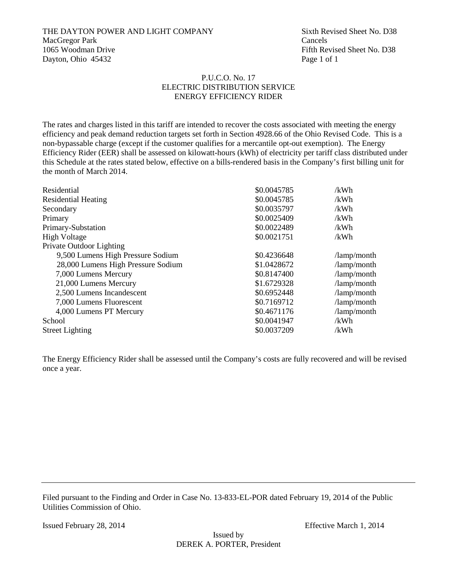#### THE DAYTON POWER AND LIGHT COMPANY Sixth Revised Sheet No. D38 MacGregor Park Cancels 1065 Woodman Drive **Fifth Revised Sheet No.** D38 Dayton, Ohio 45432 Page 1 of 1

#### P.U.C.O. No. 17 ELECTRIC DISTRIBUTION SERVICE ENERGY EFFICIENCY RIDER

The rates and charges listed in this tariff are intended to recover the costs associated with meeting the energy efficiency and peak demand reduction targets set forth in Section 4928.66 of the Ohio Revised Code. This is a non-bypassable charge (except if the customer qualifies for a mercantile opt-out exemption). The Energy Efficiency Rider (EER) shall be assessed on kilowatt-hours (kWh) of electricity per tariff class distributed under this Schedule at the rates stated below, effective on a bills-rendered basis in the Company's first billing unit for the month of March 2014.

| Residential                        | \$0.0045785 | /kWh                |
|------------------------------------|-------------|---------------------|
| <b>Residential Heating</b>         | \$0.0045785 | /kWh                |
| Secondary                          | \$0.0035797 | /kWh                |
| Primary                            | \$0.0025409 | /kWh                |
| Primary-Substation                 | \$0.0022489 | /kWh                |
| <b>High Voltage</b>                | \$0.0021751 | /kWh                |
| Private Outdoor Lighting           |             |                     |
| 9,500 Lumens High Pressure Sodium  | \$0.4236648 | /lamp/month         |
| 28,000 Lumens High Pressure Sodium | \$1.0428672 | /lamp/month         |
| 7,000 Lumens Mercury               | \$0.8147400 | /lamp/month         |
| 21,000 Lumens Mercury              | \$1.6729328 | /lamp/month         |
| 2,500 Lumens Incandescent          | \$0.6952448 | /lamp/month         |
| 7,000 Lumens Fluorescent           | \$0.7169712 | /lamp/month         |
| 4,000 Lumens PT Mercury            | \$0.4671176 | $\lambda$ amp/month |
| School                             | \$0.0041947 | /kWh                |
| <b>Street Lighting</b>             | \$0.0037209 | /kWh                |
|                                    |             |                     |

The Energy Efficiency Rider shall be assessed until the Company's costs are fully recovered and will be revised once a year.

Filed pursuant to the Finding and Order in Case No. 13-833-EL-POR dated February 19, 2014 of the Public Utilities Commission of Ohio.

Issued February 28, 2014 Effective March 1, 2014